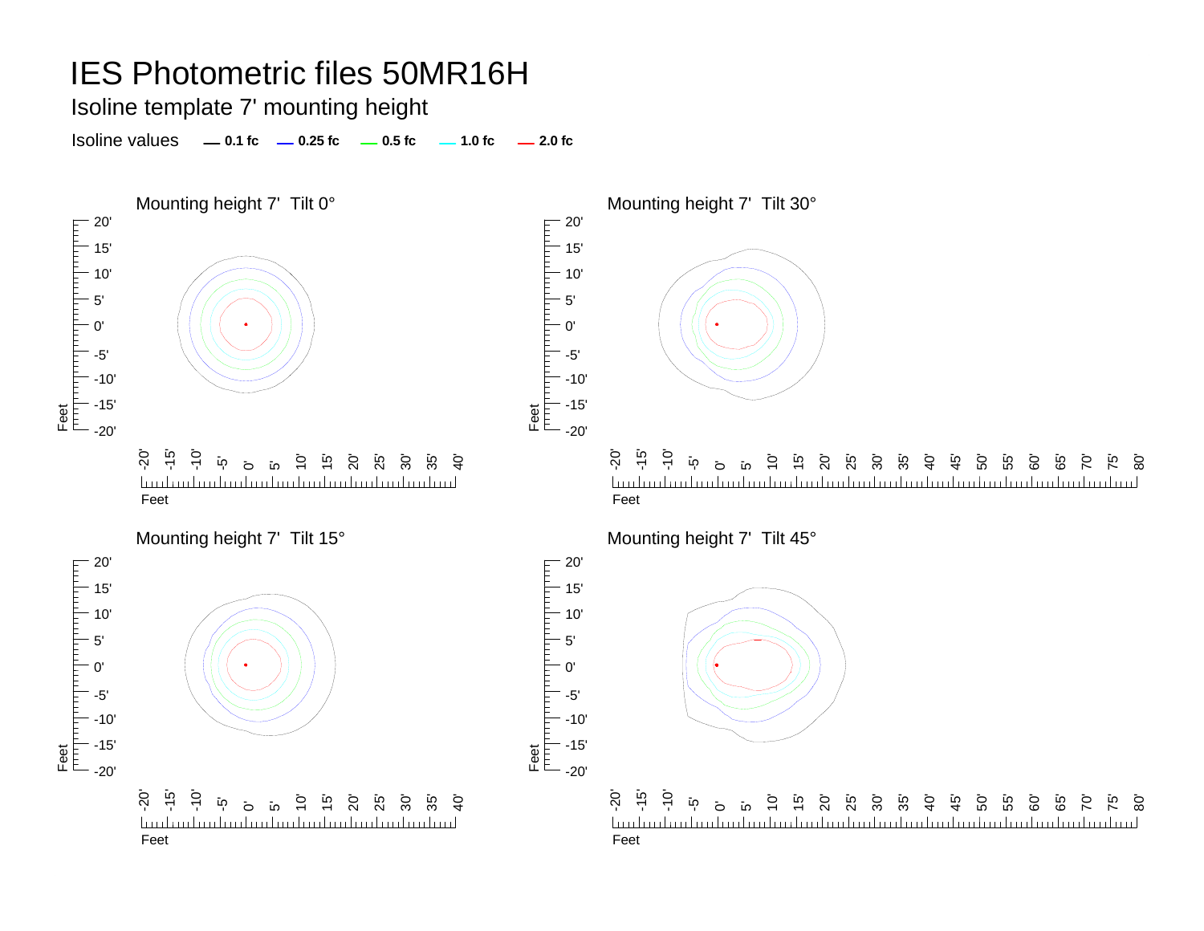Isoline template 7' mounting height

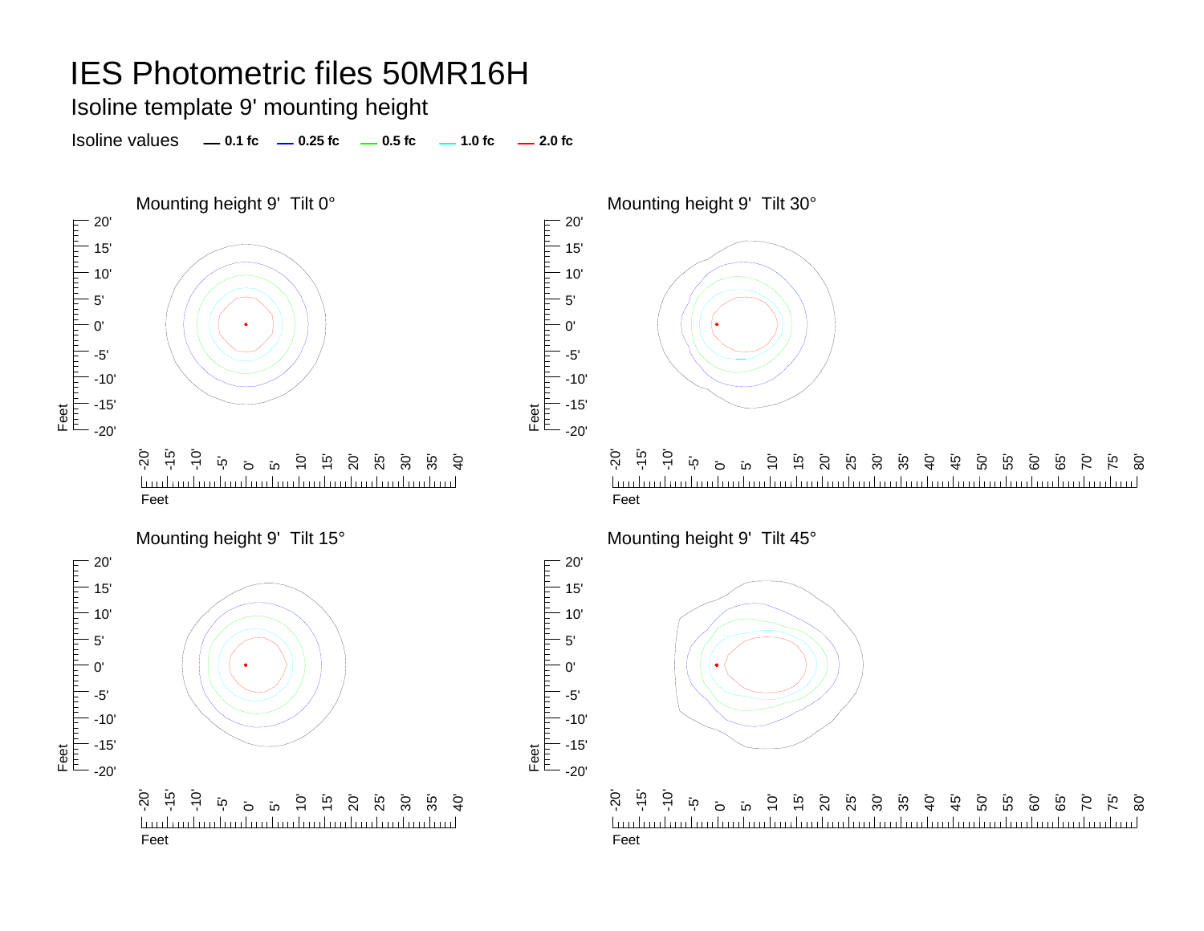Isoline template 9' mounting height

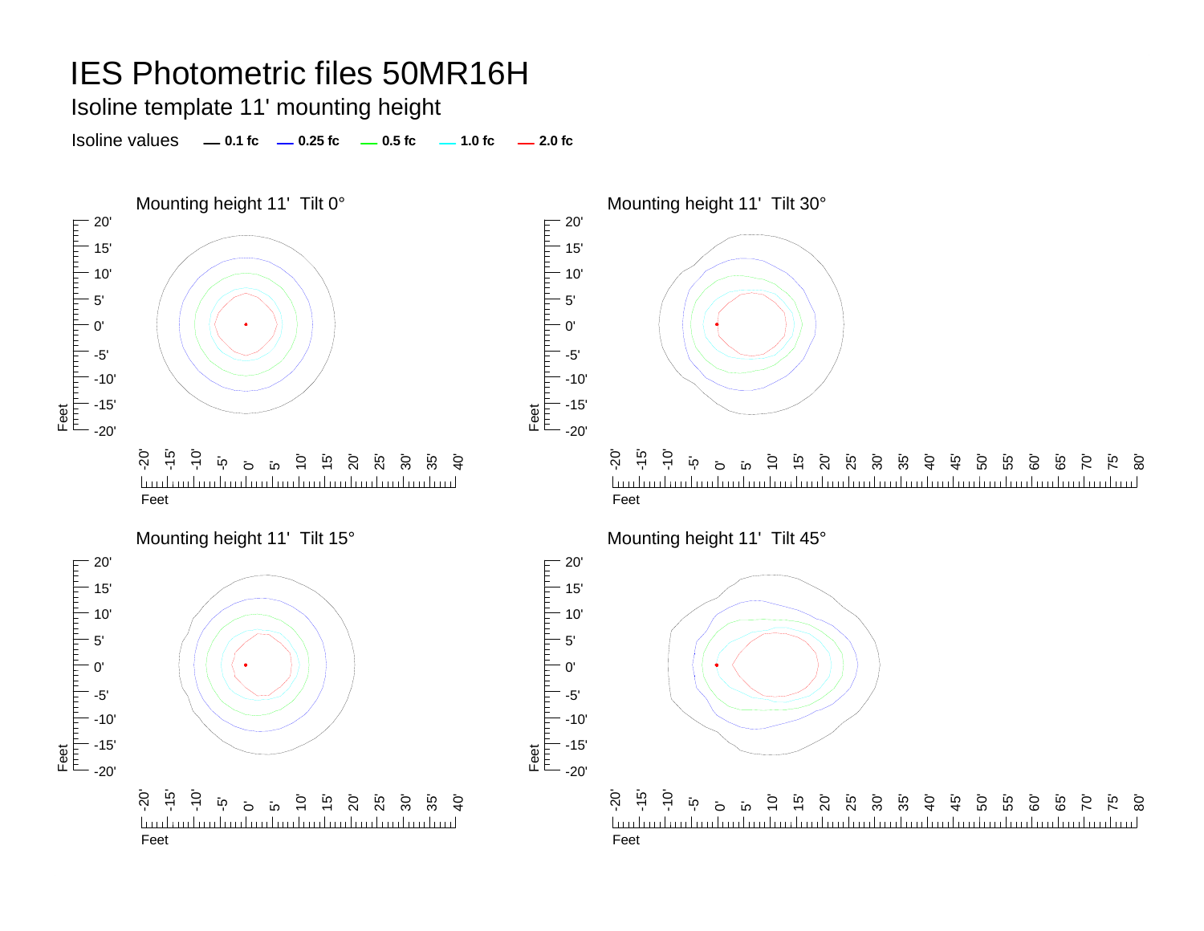Isoline template 11' mounting height

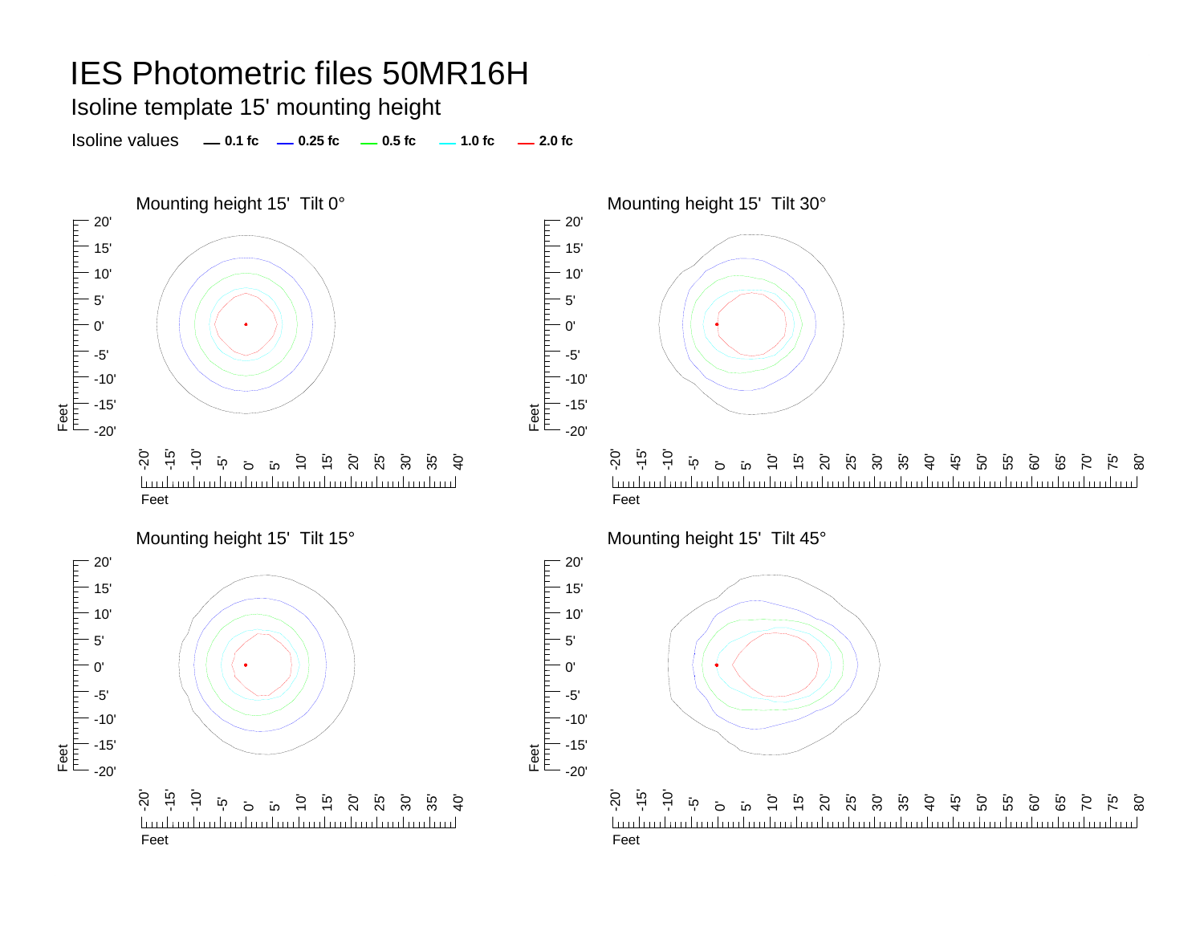Isoline template 15' mounting height

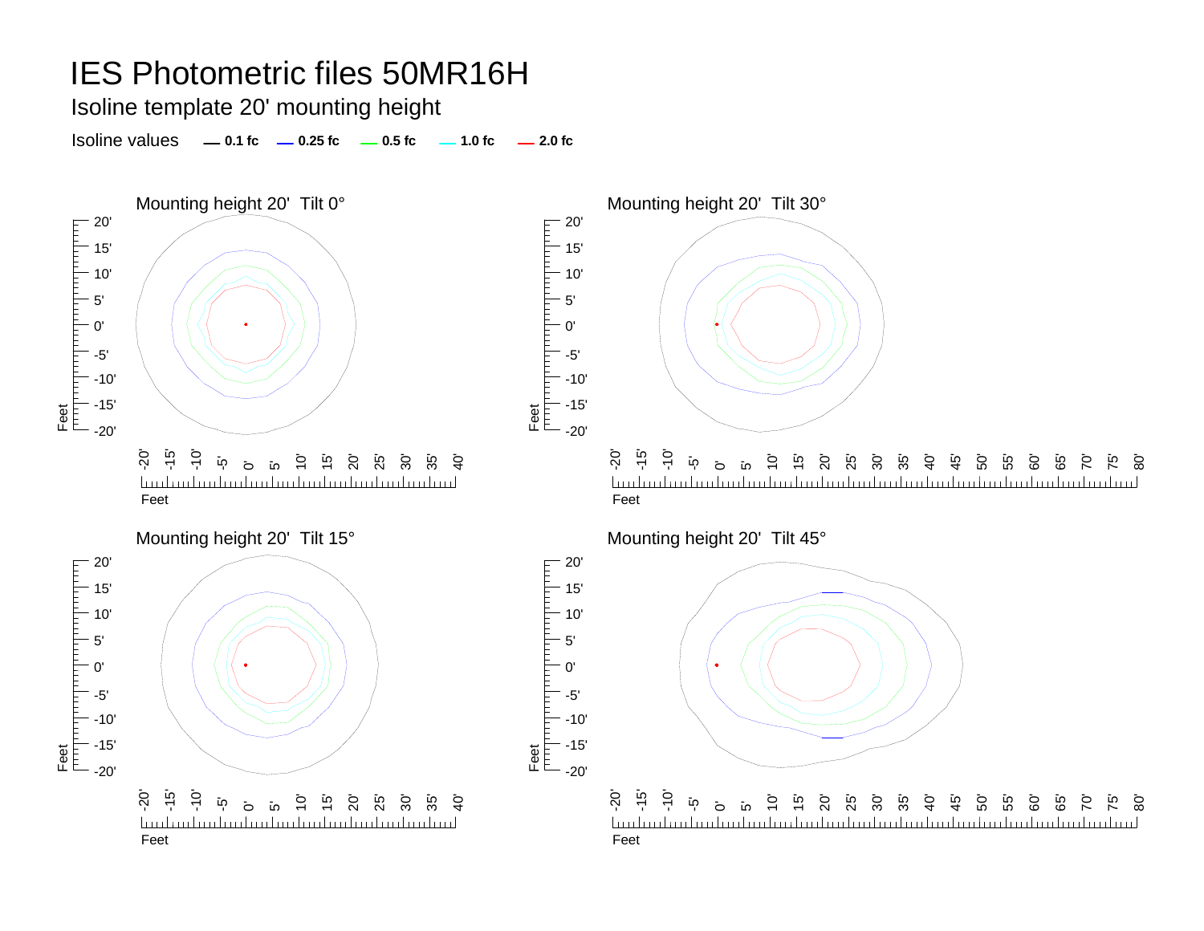Isoline template 20' mounting height

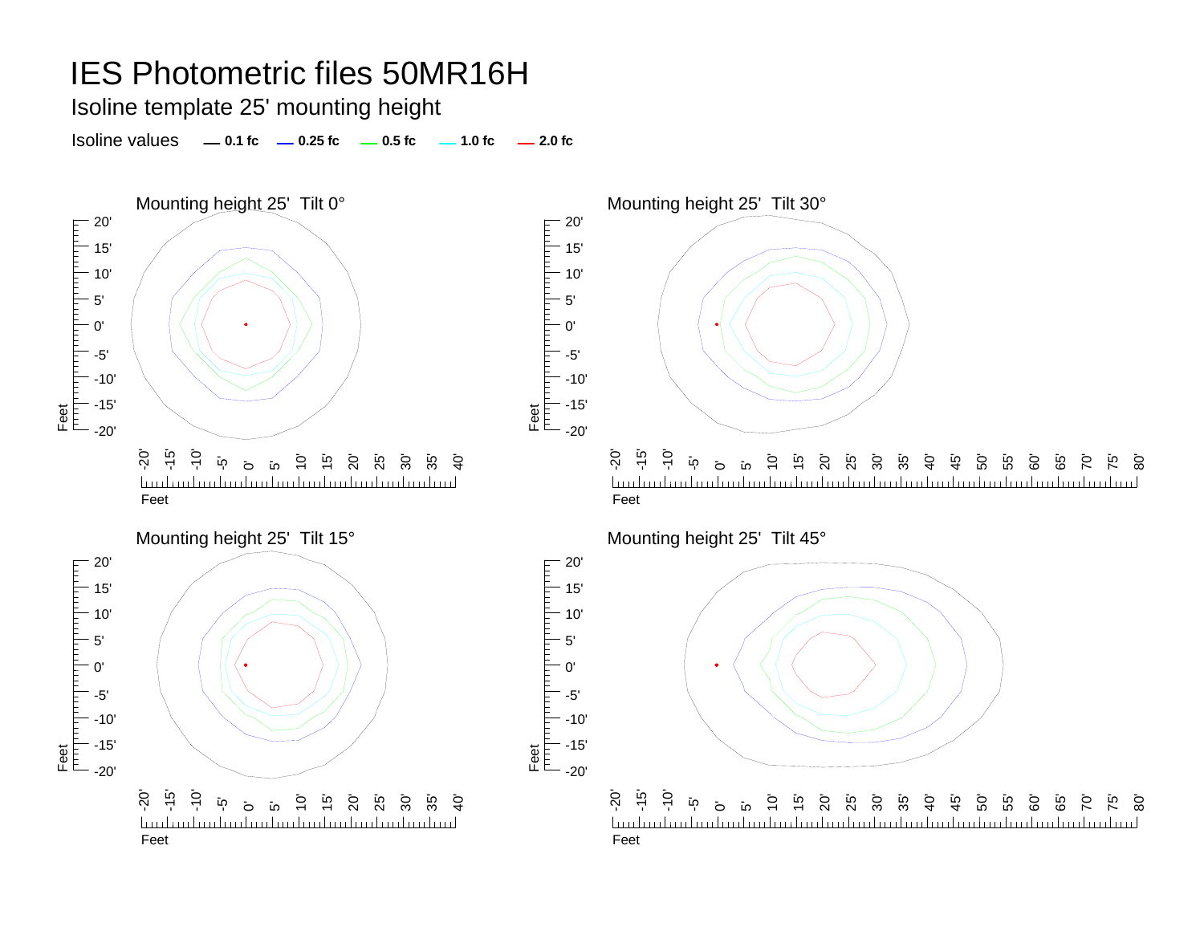Isoline template 25' mounting height